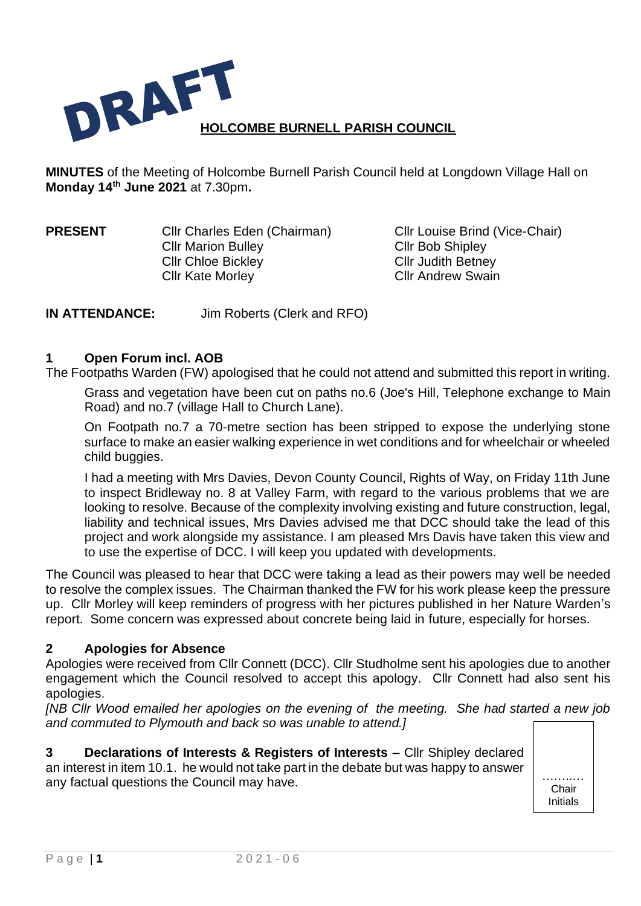

**MINUTES** of the Meeting of Holcombe Burnell Parish Council held at Longdown Village Hall on **Monday 14 th June 2021** at 7.30pm**.**

Cllr Marion Bulley Cllr Bob Shipley Cllr Chloe Bickley Cllr Judith Betney Cllr Kate Morley **Cllr Andrew Swain** 

**PRESENT** Cllr Charles Eden (Chairman) Cllr Louise Brind (Vice-Chair)

**IN ATTENDANCE:** Jim Roberts (Clerk and RFO)

# **1 Open Forum incl. AOB**

The Footpaths Warden (FW) apologised that he could not attend and submitted this report in writing.

Grass and vegetation have been cut on paths no.6 (Joe's Hill, Telephone exchange to Main Road) and no.7 (village Hall to Church Lane).

On Footpath no.7 a 70-metre section has been stripped to expose the underlying stone surface to make an easier walking experience in wet conditions and for wheelchair or wheeled child buggies.

I had a meeting with Mrs Davies, Devon County Council, Rights of Way, on Friday 11th June to inspect Bridleway no. 8 at Valley Farm, with regard to the various problems that we are looking to resolve. Because of the complexity involving existing and future construction, legal, liability and technical issues, Mrs Davies advised me that DCC should take the lead of this project and work alongside my assistance. I am pleased Mrs Davis have taken this view and to use the expertise of DCC. I will keep you updated with developments.

The Council was pleased to hear that DCC were taking a lead as their powers may well be needed to resolve the complex issues. The Chairman thanked the FW for his work please keep the pressure up. Cllr Morley will keep reminders of progress with her pictures published in her Nature Warden's report. Some concern was expressed about concrete being laid in future, especially for horses.

# **2 Apologies for Absence**

Apologies were received from Cllr Connett (DCC). Cllr Studholme sent his apologies due to another engagement which the Council resolved to accept this apology. Cllr Connett had also sent his apologies.

*[NB Cllr Wood emailed her apologies on the evening of the meeting. She had started a new job and commuted to Plymouth and back so was unable to attend.]*

**3 Declarations of Interests & Registers of Interests** – Cllr Shipley declared an interest in item 10.1. he would not take part in the debate but was happy to answer any factual questions the Council may have.

**Chair** Initials

Inits.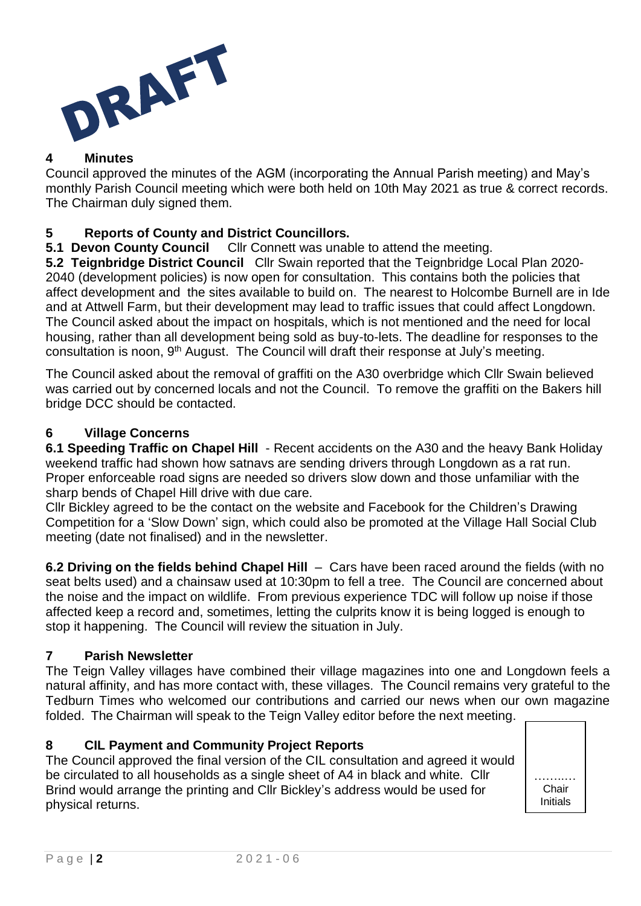

# **4 Minutes**

Council approved the minutes of the AGM (incorporating the Annual Parish meeting) and May's monthly Parish Council meeting which were both held on 10th May 2021 as true & correct records. The Chairman duly signed them.

# **5 Reports of County and District Councillors.**

**5.1 Devon County Council** Cllr Connett was unable to attend the meeting.

**5.2 Teignbridge District Council** Cllr Swain reported that the Teignbridge Local Plan 2020- 2040 (development policies) is now open for consultation. This contains both the policies that affect development and the sites available to build on. The nearest to Holcombe Burnell are in Ide and at Attwell Farm, but their development may lead to traffic issues that could affect Longdown. The Council asked about the impact on hospitals, which is not mentioned and the need for local housing, rather than all development being sold as buy-to-lets. The deadline for responses to the consultation is noon, 9<sup>th</sup> August. The Council will draft their response at July's meeting.

The Council asked about the removal of graffiti on the A30 overbridge which Cllr Swain believed was carried out by concerned locals and not the Council. To remove the graffiti on the Bakers hill bridge DCC should be contacted.

# **6 Village Concerns**

**6.1 Speeding Traffic on Chapel Hill** - Recent accidents on the A30 and the heavy Bank Holiday weekend traffic had shown how satnavs are sending drivers through Longdown as a rat run. Proper enforceable road signs are needed so drivers slow down and those unfamiliar with the sharp bends of Chapel Hill drive with due care.

Cllr Bickley agreed to be the contact on the website and Facebook for the Children's Drawing Competition for a 'Slow Down' sign, which could also be promoted at the Village Hall Social Club meeting (date not finalised) and in the newsletter.

**6.2 Driving on the fields behind Chapel Hill** – Cars have been raced around the fields (with no seat belts used) and a chainsaw used at 10:30pm to fell a tree. The Council are concerned about the noise and the impact on wildlife. From previous experience TDC will follow up noise if those affected keep a record and, sometimes, letting the culprits know it is being logged is enough to stop it happening. The Council will review the situation in July.

# **7 Parish Newsletter**

The Teign Valley villages have combined their village magazines into one and Longdown feels a natural affinity, and has more contact with, these villages. The Council remains very grateful to the Tedburn Times who welcomed our contributions and carried our news when our own magazine folded. The Chairman will speak to the Teign Valley editor before the next meeting.

# **8 CIL Payment and Community Project Reports**

The Council approved the final version of the CIL consultation and agreed it would be circulated to all households as a single sheet of A4 in black and white. Cllr Brind would arrange the printing and Cllr Bickley's address would be used for physical returns.

……..… Chair Initials

Inits.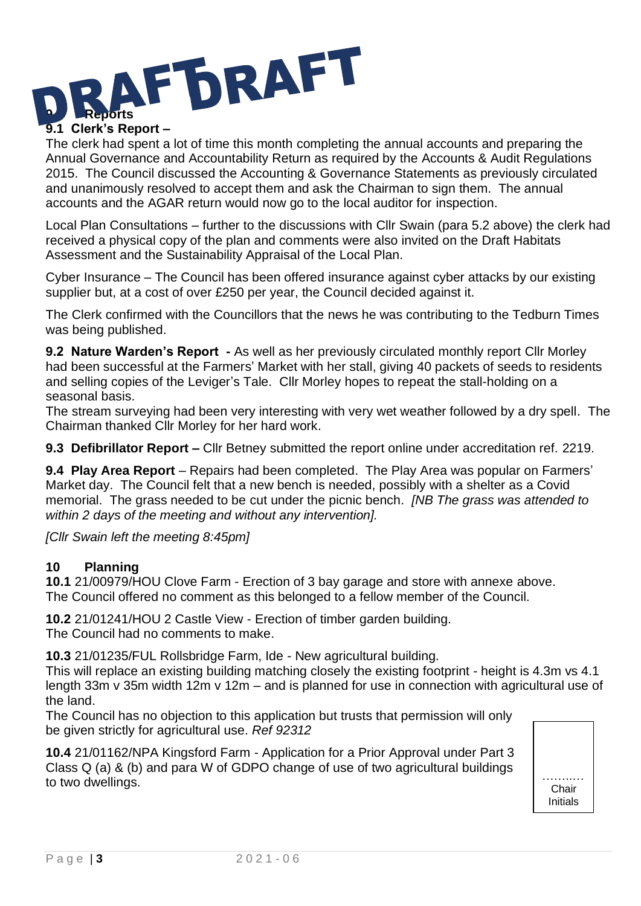

The clerk had spent a lot of time this month completing the annual accounts and preparing the Annual Governance and Accountability Return as required by the Accounts & Audit Regulations 2015. The Council discussed the Accounting & Governance Statements as previously circulated and unanimously resolved to accept them and ask the Chairman to sign them. The annual accounts and the AGAR return would now go to the local auditor for inspection.

Local Plan Consultations – further to the discussions with Cllr Swain (para 5.2 above) the clerk had received a physical copy of the plan and comments were also invited on the Draft Habitats Assessment and the Sustainability Appraisal of the Local Plan.

Cyber Insurance – The Council has been offered insurance against cyber attacks by our existing supplier but, at a cost of over £250 per year, the Council decided against it.

The Clerk confirmed with the Councillors that the news he was contributing to the Tedburn Times was being published.

**9.2 Nature Warden's Report -** As well as her previously circulated monthly report Cllr Morley had been successful at the Farmers' Market with her stall, giving 40 packets of seeds to residents and selling copies of the Leviger's Tale. Cllr Morley hopes to repeat the stall-holding on a seasonal basis.

The stream surveying had been very interesting with very wet weather followed by a dry spell. The Chairman thanked Cllr Morley for her hard work.

**9.3 Defibrillator Report –** Cllr Betney submitted the report online under accreditation ref. 2219.

**9.4 Play Area Report** – Repairs had been completed. The Play Area was popular on Farmers' Market day. The Council felt that a new bench is needed, possibly with a shelter as a Covid memorial. The grass needed to be cut under the picnic bench. *[NB The grass was attended to within 2 days of the meeting and without any intervention].*

*[Cllr Swain left the meeting 8:45pm]*

# **10 Planning**

**10.1** 21/00979/HOU Clove Farm - Erection of 3 bay garage and store with annexe above. The Council offered no comment as this belonged to a fellow member of the Council.

**10.2** 21/01241/HOU 2 Castle View - Erection of timber garden building. The Council had no comments to make.

**10.3** 21/01235/FUL Rollsbridge Farm, Ide - New agricultural building.

This will replace an existing building matching closely the existing footprint - height is 4.3m vs 4.1 length 33m v 35m width 12m v 12m – and is planned for use in connection with agricultural use of the land.

The Council has no objection to this application but trusts that permission will only be given strictly for agricultural use. *Ref 92312*

**10.4** 21/01162/NPA Kingsford Farm - Application for a Prior Approval under Part 3 Class Q (a) & (b) and para W of GDPO change of use of two agricultural buildings  $\frac{1}{2}$  order  $\alpha$  (c)  $\alpha$  (c) and para  $\alpha$  or  $\alpha$  or  $\alpha$  order  $\alpha$  and  $\alpha$  or  $\alpha$  order  $\alpha$  order  $\alpha$ .



Inits.